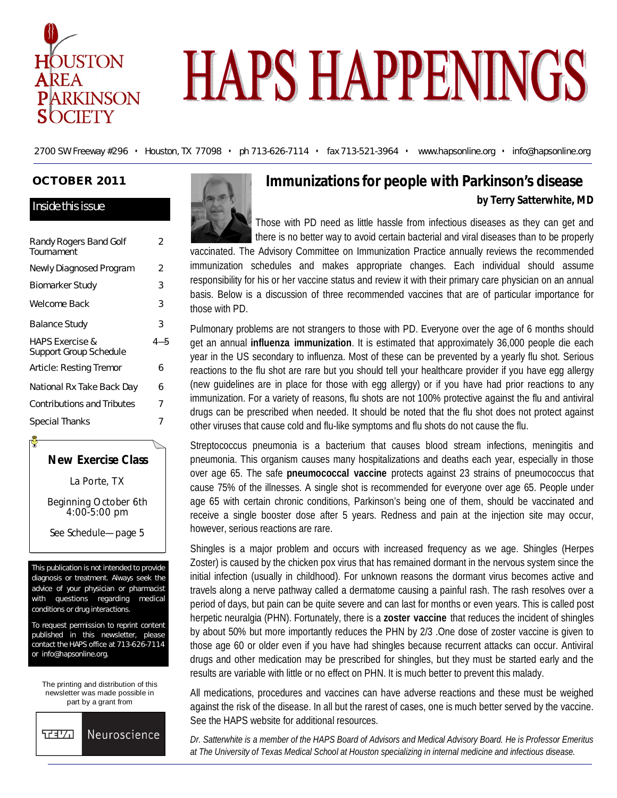

# **HAPS HAPPENINGS**

2700 SW Freeway #296 • Houston, TX 77098 • ph 713-626-7114 • fax 713-521-3964 • www.hapsonline.org • info@hapsonline.org

## **OCTOBER 2011**

#### Inside this issue

| Randy Rogers Band Golf<br>Tournament                 | 2   |
|------------------------------------------------------|-----|
| Newly Diagnosed Program                              | 2   |
| <b>Biomarker Study</b>                               | 3   |
| Welcome Back                                         | 3   |
| <b>Balance Study</b>                                 | 3   |
|                                                      |     |
| <b>HAPS Exercise &amp;</b><br>Support Group Schedule | 4—5 |
| Article: Resting Tremor                              | 6   |
| National Rx Take Back Day                            | 6   |
| <b>Contributions and Tributes</b>                    | 7   |



La Porte, TX

Beginning October 6th 4:00-5:00 pm

See Schedule—page 5

This publication is not intended to provide diagnosis or treatment. Always seek the advice of your physician or pharmacist with questions regarding medical conditions or drug interactions.

To request permission to reprint content published in this newsletter, please contact the HAPS office at 713-626-7114 or info@hapsonline.org.

The printing and distribution of this newsletter was made possible in part by a grant from





# **Immunizations for people with Parkinson's disease by Terry Satterwhite, MD**

Those with PD need as little hassle from infectious diseases as they can get and there is no better way to avoid certain bacterial and viral diseases than to be properly

vaccinated. The Advisory Committee on Immunization Practice annually reviews the recommended immunization schedules and makes appropriate changes. Each individual should assume responsibility for his or her vaccine status and review it with their primary care physician on an annual basis. Below is a discussion of three recommended vaccines that are of particular importance for those with PD.

Pulmonary problems are not strangers to those with PD. Everyone over the age of 6 months should get an annual **influenza immunization**. It is estimated that approximately 36,000 people die each year in the US secondary to influenza. Most of these can be prevented by a yearly flu shot. Serious reactions to the flu shot are rare but you should tell your healthcare provider if you have egg allergy (new guidelines are in place for those with egg allergy) or if you have had prior reactions to any immunization. For a variety of reasons, flu shots are not 100% protective against the flu and antiviral drugs can be prescribed when needed. It should be noted that the flu shot does not protect against other viruses that cause cold and flu-like symptoms and flu shots do not cause the flu.

Streptococcus pneumonia is a bacterium that causes blood stream infections, meningitis and pneumonia. This organism causes many hospitalizations and deaths each year, especially in those over age 65. The safe **pneumococcal vaccine** protects against 23 strains of pneumococcus that cause 75% of the illnesses. A single shot is recommended for everyone over age 65. People under age 65 with certain chronic conditions, Parkinson's being one of them, should be vaccinated and receive a single booster dose after 5 years. Redness and pain at the injection site may occur, however, serious reactions are rare.

Shingles is a major problem and occurs with increased frequency as we age. Shingles (Herpes Zoster) is caused by the chicken pox virus that has remained dormant in the nervous system since the initial infection (usually in childhood). For unknown reasons the dormant virus becomes active and travels along a nerve pathway called a dermatome causing a painful rash. The rash resolves over a period of days, but pain can be quite severe and can last for months or even years. This is called post herpetic neuralgia (PHN). Fortunately, there is a **zoster vaccine** that reduces the incident of shingles by about 50% but more importantly reduces the PHN by 2/3 .One dose of zoster vaccine is given to those age 60 or older even if you have had shingles because recurrent attacks can occur. Antiviral drugs and other medication may be prescribed for shingles, but they must be started early and the results are variable with little or no effect on PHN. It is much better to prevent this malady.

All medications, procedures and vaccines can have adverse reactions and these must be weighed against the risk of the disease. In all but the rarest of cases, one is much better served by the vaccine. See the HAPS website for additional resources.

*Dr. Satterwhite is a member of the HAPS Board of Advisors and Medical Advisory Board. He is Professor Emeritus at The University of Texas Medical School at Houston specializing in internal medicine and infectious disease.*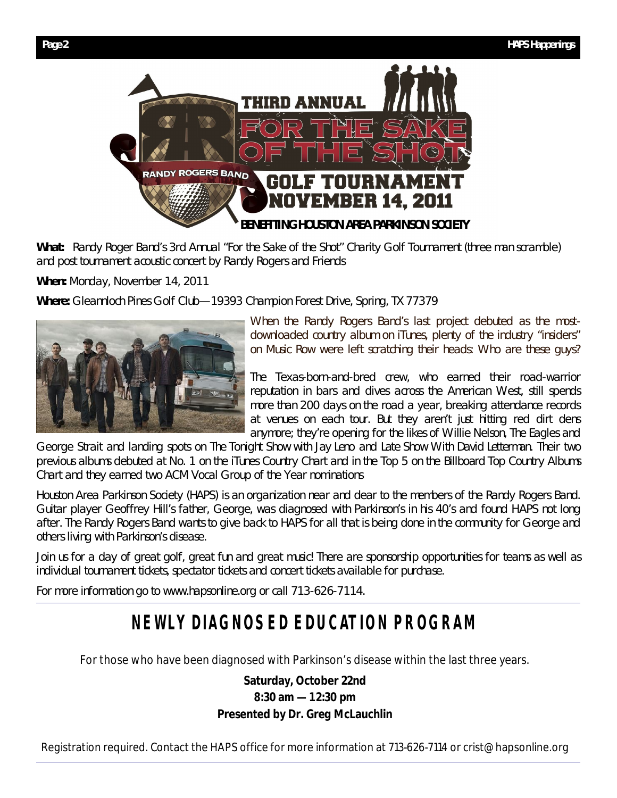

**What:** Randy Roger Band's 3rd Annual "For the Sake of the Shot" Charity Golf Tournament (three man scramble) and post tournament acoustic concert by Randy Rogers and Friends

**When:** Monday, November 14, 2011

**Where:** Gleannloch Pines Golf Club—19393 Champion Forest Drive, Spring, TX 77379



When the Randy Rogers Band's last project debuted as the mostdownloaded country album on iTunes, plenty of the industry "insiders" on Music Row were left scratching their heads: Who are these guys?

The Texas-born-and-bred crew, who earned their road-warrior reputation in bars and dives across the American West, still spends more than 200 days on the road a year, breaking attendance records at venues on each tour. But they aren't just hitting red dirt dens anymore; they're opening for the likes of Willie Nelson, The Eagles and

George Strait and landing spots on *The Tonight Show with Jay Leno* and *Late Show With David Letterman*. Their two previous albums debuted at No. 1 on the iTunes Country Chart and in the Top 5 on the *Billboard* Top Country Albums Chart and they earned two ACM Vocal Group of the Year nominations

Houston Area Parkinson Society (HAPS) is an organization near and dear to the members of the Randy Rogers Band. Guitar player Geoffrey Hill's father, George, was diagnosed with Parkinson's in his 40's and found HAPS not long after. The Randy Rogers Band wants to give back to HAPS for all that is being done in the community for George and others living with Parkinson's disease.

Join us for a day of great golf, great fun and great music! There are sponsorship opportunities for teams as well as individual tournament tickets, spectator tickets and concert tickets available for purchase.

For more information go to www.hapsonline.org or call 713-626-7114.

# **NEWLY DIAGNOSED EDUCATION PROGRAM**

For those who have been diagnosed with Parkinson's disease within the last three years.

**Saturday, October 22nd 8:30 am —1 2:30 pm Presented by Dr. Greg McLauchlin**

Registration required. Contact the HAPS office for more information at 713-626-7114 or crist@hapsonline.org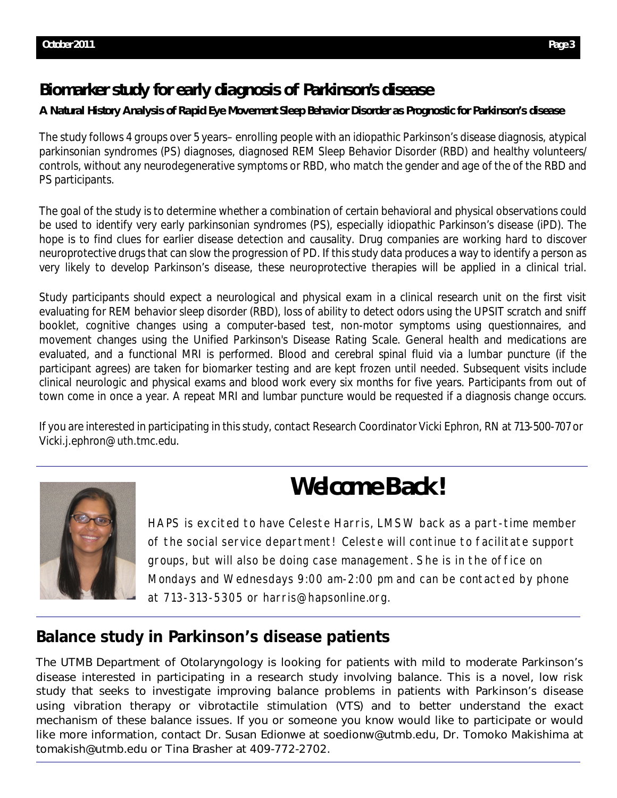# **Biomarker study for early diagnosis of Parkinson's disease**

# **A Natural History Analysis of Rapid Eye Movement Sleep Behavior Disorder as Prognostic for Parkinson's disease**

The study follows 4 groups over 5 years– enrolling people with an idiopathic Parkinson's disease diagnosis, atypical parkinsonian syndromes (PS) diagnoses, diagnosed REM Sleep Behavior Disorder (RBD) and healthy volunteers/ controls, without any neurodegenerative symptoms or RBD, who match the gender and age of the of the RBD and PS participants.

The goal of the study is to determine whether a combination of certain behavioral and physical observations could be used to identify very early parkinsonian syndromes (PS), especially idiopathic Parkinson's disease (iPD). The hope is to find clues for earlier disease detection and causality. Drug companies are working hard to discover neuroprotective drugs that can slow the progression of PD. If this study data produces a way to identify a person as very likely to develop Parkinson's disease, these neuroprotective therapies will be applied in a clinical trial.

Study participants should expect a neurological and physical exam in a clinical research unit on the first visit evaluating for REM behavior sleep disorder (RBD), loss of ability to detect odors using the UPSIT scratch and sniff booklet, cognitive changes using a computer-based test, non-motor symptoms using questionnaires, and movement changes using the Unified Parkinson's Disease Rating Scale. General health and medications are evaluated, and a functional MRI is performed. Blood and cerebral spinal fluid via a lumbar puncture (if the participant agrees) are taken for biomarker testing and are kept frozen until needed. Subsequent visits include clinical neurologic and physical exams and blood work every six months for five years. Participants from out of town come in once a year. A repeat MRI and lumbar puncture would be requested if a diagnosis change occurs.

If you are interested in participating in this study, contact Research Coordinator Vicki Ephron, RN at 713-500-707 or Vicki.j.ephron@uth.tmc.edu.



# **Welcome Back!**

HAPS is excited to have Celeste Harris, LMSW back as a part-time member of the social service department! Celeste will continue to facilitate support groups, but will also be doing case management. She is in the office on Mondays and Wednesdays 9:00 am-2:00 pm and can be contacted by phone at 713-313-5305 or harris@hapsonline.org.

# **Balance study in Parkinson's disease patients**

The UTMB Department of Otolaryngology is looking for patients with mild to moderate Parkinson's disease interested in participating in a research study involving balance. This is a novel, low risk study that seeks to investigate improving balance problems in patients with Parkinson's disease using vibration therapy or vibrotactile stimulation (VTS) and to better understand the exact mechanism of these balance issues. If you or someone you know would like to participate or would like more information, contact Dr. Susan Edionwe at soedionw@utmb.edu, Dr. Tomoko Makishima at tomakish@utmb.edu or Tina Brasher at 409-772-2702.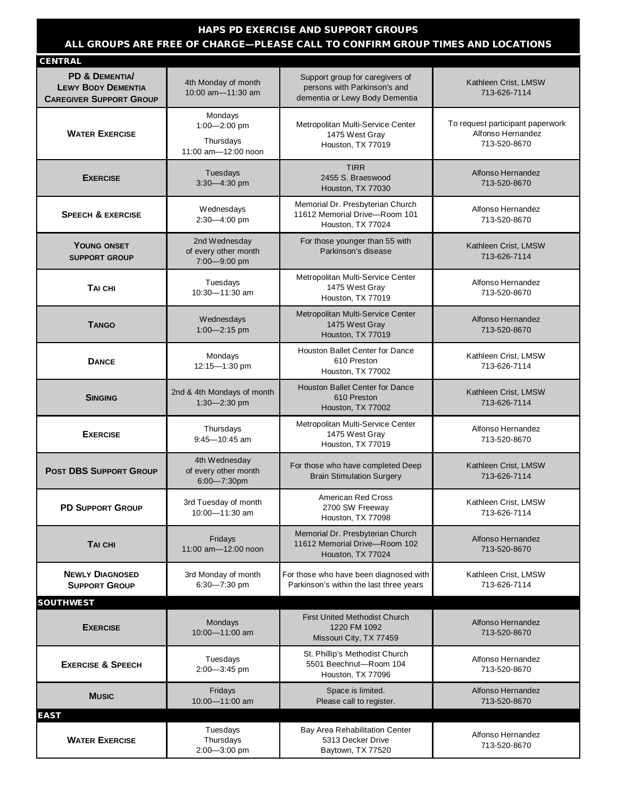## **HAPS PD EXERCISE AND SUPPORT GROUPS ALL GROUPS ARE FREE OF CHARGE—PLEASE CALL TO CONFIRM GROUP TIMES AND LOCATIONS**

| <b>CENTRAL</b>                                                                           |                                                             |                                                                                                   |                                                                       |
|------------------------------------------------------------------------------------------|-------------------------------------------------------------|---------------------------------------------------------------------------------------------------|-----------------------------------------------------------------------|
| <b>PD &amp; DEMENTIA/</b><br><b>LEWY BODY DEMENTIA</b><br><b>CAREGIVER SUPPORT GROUP</b> | 4th Monday of month<br>10:00 am-11:30 am                    | Support group for caregivers of<br>persons with Parkinson's and<br>dementia or Lewy Body Dementia | Kathleen Crist, LMSW<br>713-626-7114                                  |
| <b>WATER EXERCISE</b>                                                                    | Mondays<br>1:00-2:00 pm<br>Thursdays<br>11:00 am-12:00 noon | Metropolitan Multi-Service Center<br>1475 West Gray<br>Houston, TX 77019                          | To request participant paperwork<br>Alfonso Hernandez<br>713-520-8670 |
| <b>EXERCISE</b>                                                                          | Tuesdays<br>$3:30 - 4:30$ pm                                | <b>TIRR</b><br>2455 S. Braeswood<br>Houston, TX 77030                                             | Alfonso Hernandez<br>713-520-8670                                     |
| <b>SPEECH &amp; EXERCISE</b>                                                             | Wednesdays<br>2:30-4:00 pm                                  | Memorial Dr. Presbyterian Church<br>11612 Memorial Drive-Room 101<br>Houston, TX 77024            | Alfonso Hernandez<br>713-520-8670                                     |
| <b>YOUNG ONSET</b><br><b>SUPPORT GROUP</b>                                               | 2nd Wednesday<br>of every other month<br>7:00-9:00 pm       | For those younger than 55 with<br>Parkinson's disease                                             | Kathleen Crist, LMSW<br>713-626-7114                                  |
| TAI CHI                                                                                  | Tuesdays<br>10:30-11:30 am                                  | Metropolitan Multi-Service Center<br>1475 West Gray<br>Houston, TX 77019                          | Alfonso Hernandez<br>713-520-8670                                     |
| <b>TANGO</b>                                                                             | Wednesdays<br>1:00-2:15 pm                                  | Metropolitan Multi-Service Center<br>1475 West Gray<br>Houston, TX 77019                          | Alfonso Hernandez<br>713-520-8670                                     |
| <b>DANCE</b>                                                                             | Mondays<br>12:15-1:30 pm                                    | Houston Ballet Center for Dance<br>610 Preston<br>Houston, TX 77002                               | Kathleen Crist, LMSW<br>713-626-7114                                  |
| <b>SINGING</b>                                                                           | 2nd & 4th Mondays of month<br>$1:30 - 2:30$ pm              | <b>Houston Ballet Center for Dance</b><br>610 Preston<br>Houston, TX 77002                        | Kathleen Crist, LMSW<br>713-626-7114                                  |
| <b>EXERCISE</b>                                                                          | Thursdays<br>$9:45 - 10:45$ am                              | Metropolitan Multi-Service Center<br>1475 West Gray<br>Houston, TX 77019                          | Alfonso Hernandez<br>713-520-8670                                     |
| <b>POST DBS SUPPORT GROUP</b>                                                            | 4th Wednesday<br>of every other month<br>6:00-7:30pm        | For those who have completed Deep<br><b>Brain Stimulation Surgery</b>                             | Kathleen Crist, LMSW<br>713-626-7114                                  |
| <b>PD SUPPORT GROUP</b>                                                                  | 3rd Tuesday of month<br>10:00-11:30 am                      | American Red Cross<br>2700 SW Freeway<br>Houston, TX 77098                                        | Kathleen Crist, LMSW<br>713-626-7114                                  |
| <b>TAI CHI</b>                                                                           | Fridays<br>11:00 am-12:00 noon                              | Memorial Dr. Presbyterian Church<br>11612 Memorial Drive-Room 102<br>Houston, TX 77024            | Alfonso Hernandez<br>713-520-8670                                     |
| <b>NEWLY DIAGNOSED</b><br><b>SUPPORT GROUP</b>                                           | 3rd Monday of month<br>6:30-7:30 pm                         | For those who have been diagnosed with<br>Parkinson's within the last three years                 | Kathleen Crist, LMSW<br>713-626-7114                                  |
| <b>SOUTHWEST</b>                                                                         |                                                             |                                                                                                   |                                                                       |
| <b>EXERCISE</b>                                                                          | Mondays<br>10:00-11:00 am                                   | <b>First United Methodist Church</b><br>1220 FM 1092<br>Missouri City, TX 77459                   | Alfonso Hernandez<br>713-520-8670                                     |
| <b>EXERCISE &amp; SPEECH</b>                                                             | Tuesdays<br>2:00-3:45 pm                                    | St. Phillip's Methodist Church<br>5501 Beechnut-Room 104<br>Houston, TX 77096                     | Alfonso Hernandez<br>713-520-8670                                     |
| <b>MUSIC</b>                                                                             | Fridays<br>10:00-11:00 am                                   | Space is limited.<br>Please call to register.                                                     | Alfonso Hernandez<br>713-520-8670                                     |
| <b>EAST</b>                                                                              |                                                             |                                                                                                   |                                                                       |
| <b>WATER EXERCISE</b>                                                                    | Tuesdays<br>Thursdays<br>2:00-3:00 pm                       | Bay Area Rehabilitation Center<br>5313 Decker Drive<br>Baytown, TX 77520                          | Alfonso Hernandez<br>713-520-8670                                     |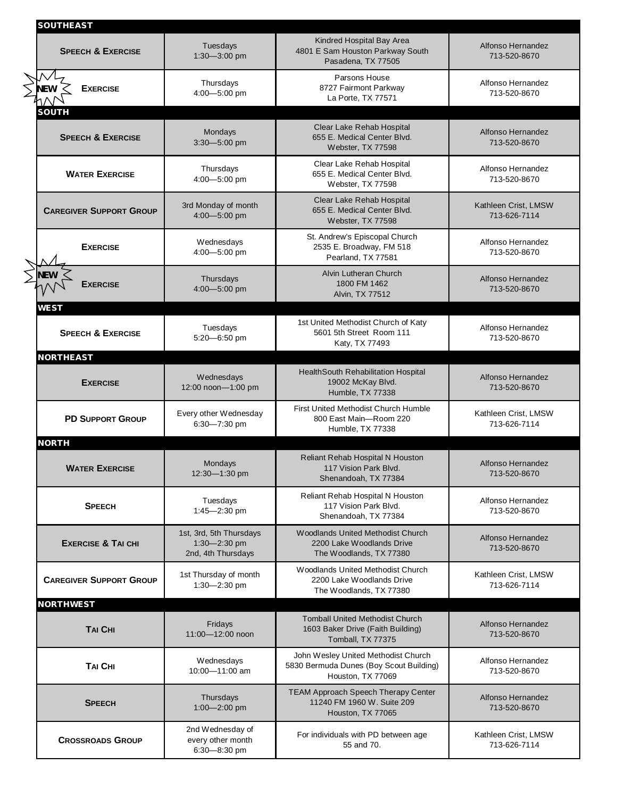| <b>SOUTHEAST</b>                             |                                                               |                                                                                                     |                                      |
|----------------------------------------------|---------------------------------------------------------------|-----------------------------------------------------------------------------------------------------|--------------------------------------|
| <b>SPEECH &amp; EXERCISE</b>                 | Tuesdays<br>1:30-3:00 pm                                      | Kindred Hospital Bay Area<br>4801 E Sam Houston Parkway South<br>Pasadena, TX 77505                 | Alfonso Hernandez<br>713-520-8670    |
| <b>NEW</b><br><b>EXERCISE</b>                | Thursdays<br>4:00-5:00 pm                                     | Parsons House<br>8727 Fairmont Parkway<br>La Porte, TX 77571                                        | Alfonso Hernandez<br>713-520-8670    |
| <b>SOUTH</b><br><b>SPEECH &amp; EXERCISE</b> | Mondays<br>3:30-5:00 pm                                       | Clear Lake Rehab Hospital<br>655 E. Medical Center Blvd.<br>Webster, TX 77598                       | Alfonso Hernandez<br>713-520-8670    |
| <b>WATER EXERCISE</b>                        | Thursdays<br>4:00-5:00 pm                                     | Clear Lake Rehab Hospital<br>655 E. Medical Center Blvd.<br>Webster, TX 77598                       | Alfonso Hernandez<br>713-520-8670    |
| <b>CAREGIVER SUPPORT GROUP</b>               | 3rd Monday of month<br>4:00-5:00 pm                           | Clear Lake Rehab Hospital<br>655 E. Medical Center Blvd.<br>Webster, TX 77598                       | Kathleen Crist, LMSW<br>713-626-7114 |
| <b>EXERCISE</b>                              | Wednesdays<br>4:00-5:00 pm                                    | St. Andrew's Episcopal Church<br>2535 E. Broadway, FM 518<br>Pearland, TX 77581                     | Alfonso Hernandez<br>713-520-8670    |
| NEW<br><b>EXERCISE</b>                       | Thursdays<br>4:00-5:00 pm                                     | Alvin Lutheran Church<br>1800 FM 1462<br>Alvin, TX 77512                                            | Alfonso Hernandez<br>713-520-8670    |
| WEST<br><b>SPEECH &amp; EXERCISE</b>         | Tuesdays<br>5:20-6:50 pm                                      | 1st United Methodist Church of Katy<br>5601 5th Street Room 111<br>Katy, TX 77493                   | Alfonso Hernandez<br>713-520-8670    |
| <b>NORTHEAST</b><br><b>EXERCISE</b>          | Wednesdays<br>12:00 noon-1:00 pm                              | HealthSouth Rehabilitation Hospital<br>19002 McKay Blvd.<br>Humble, TX 77338                        | Alfonso Hernandez<br>713-520-8670    |
| <b>PD SUPPORT GROUP</b>                      | Every other Wednesday<br>6:30-7:30 pm                         | <b>First United Methodist Church Humble</b><br>800 East Main-Room 220<br>Humble, TX 77338           | Kathleen Crist, LMSW<br>713-626-7114 |
| <b>NORTH</b><br><b>WATER EXERCISE</b>        | Mondays<br>12:30—1:30 pm                                      | Reliant Rehab Hospital N Houston<br>117 Vision Park Blvd.<br>Shenandoah, TX 77384                   | Alfonso Hernandez<br>713-520-8670    |
| <b>SPEECH</b>                                | Tuesdays<br>1:45-2:30 pm                                      | Reliant Rehab Hospital N Houston<br>117 Vision Park Blvd.<br>Shenandoah, TX 77384                   | Alfonso Hernandez<br>713-520-8670    |
| <b>EXERCISE &amp; TAI CHI</b>                | 1st, 3rd, 5th Thursdays<br>1:30-2:30 pm<br>2nd, 4th Thursdays | Woodlands United Methodist Church<br>2200 Lake Woodlands Drive<br>The Woodlands, TX 77380           | Alfonso Hernandez<br>713-520-8670    |
| <b>CAREGIVER SUPPORT GROUP</b>               | 1st Thursday of month<br>$1:30 - 2:30$ pm                     | Woodlands United Methodist Church<br>2200 Lake Woodlands Drive<br>The Woodlands, TX 77380           | Kathleen Crist, LMSW<br>713-626-7114 |
| <b>NORTHWEST</b>                             |                                                               |                                                                                                     |                                      |
| <b>TAI CHI</b>                               | Fridays<br>11:00-12:00 noon                                   | <b>Tomball United Methodist Church</b><br>1603 Baker Drive (Faith Building)<br>Tomball, TX 77375    | Alfonso Hernandez<br>713-520-8670    |
| TAI CHI                                      | Wednesdays<br>10:00-11:00 am                                  | John Wesley United Methodist Church<br>5830 Bermuda Dunes (Boy Scout Building)<br>Houston, TX 77069 | Alfonso Hernandez<br>713-520-8670    |
| <b>SPEECH</b>                                | Thursdays<br>1:00-2:00 pm                                     | TEAM Approach Speech Therapy Center<br>11240 FM 1960 W. Suite 209<br>Houston, TX 77065              | Alfonso Hernandez<br>713-520-8670    |
| <b>CROSSROADS GROUP</b>                      | 2nd Wednesday of<br>every other month<br>6:30-8:30 pm         | For individuals with PD between age<br>55 and 70.                                                   | Kathleen Crist, LMSW<br>713-626-7114 |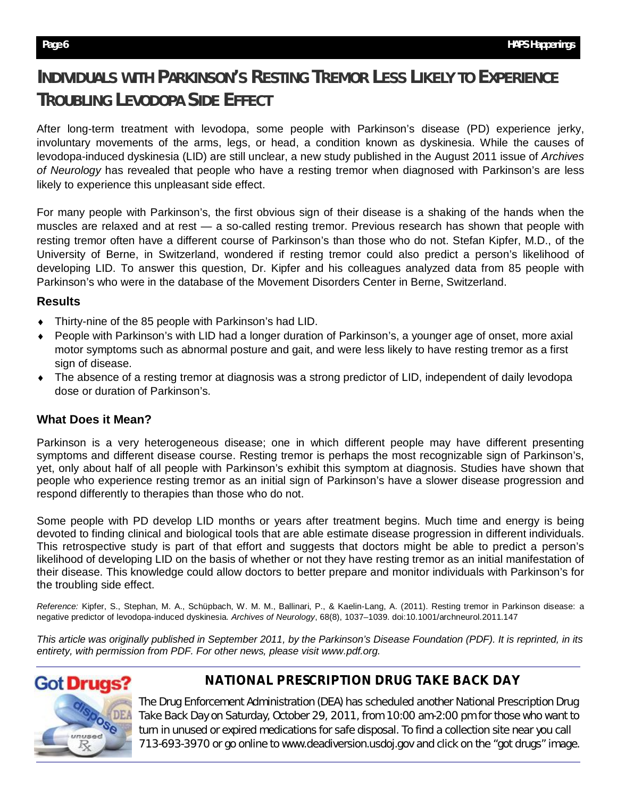# **INDIVIDUALS WITH PARKINSON'S RESTING TREMOR LESS LIKELY TO EXPERIENCE TROUBLING LEVODOPA SIDE EFFECT**

After long-term treatment with levodopa, some people with Parkinson's disease (PD) experience jerky, involuntary movements of the arms, legs, or head, a condition known as dyskinesia. While the causes of levodopa-induced dyskinesia (LID) are still unclear, a new study published in the August 2011 issue of *Archives of Neurology* has revealed that people who have a resting tremor when diagnosed with Parkinson's are less likely to experience this unpleasant side effect.

For many people with Parkinson's, the first obvious sign of their disease is a shaking of the hands when the muscles are relaxed and at rest — a so-called resting tremor. Previous research has shown that people with resting tremor often have a different course of Parkinson's than those who do not. Stefan Kipfer, M.D., of the University of Berne, in Switzerland, wondered if resting tremor could also predict a person's likelihood of developing LID. To answer this question, Dr. Kipfer and his colleagues analyzed data from 85 people with Parkinson's who were in the database of the Movement Disorders Center in Berne, Switzerland.

## **Results**

- Thirty-nine of the 85 people with Parkinson's had LID.
- People with Parkinson's with LID had a longer duration of Parkinson's, a younger age of onset, more axial motor symptoms such as abnormal posture and gait, and were less likely to have resting tremor as a first sign of disease.
- The absence of a resting tremor at diagnosis was a strong predictor of LID, independent of daily levodopa dose or duration of Parkinson's.

# **What Does it Mean?**

Parkinson is a very heterogeneous disease; one in which different people may have different presenting symptoms and different disease course. Resting tremor is perhaps the most recognizable sign of Parkinson's, yet, only about half of all people with Parkinson's exhibit this symptom at diagnosis. Studies have shown that people who experience resting tremor as an initial sign of Parkinson's have a slower disease progression and respond differently to therapies than those who do not.

Some people with PD develop LID months or years after treatment begins. Much time and energy is being devoted to finding clinical and biological tools that are able estimate disease progression in different individuals. This retrospective study is part of that effort and suggests that doctors might be able to predict a person's likelihood of developing LID on the basis of whether or not they have resting tremor as an initial manifestation of their disease. This knowledge could allow doctors to better prepare and monitor individuals with Parkinson's for the troubling side effect.

*Reference:* Kipfer, S., Stephan, M. A., Schüpbach, W. M. M., Ballinari, P., & Kaelin-Lang, A. (2011). Resting tremor in Parkinson disease: a negative predictor of levodopa-induced dyskinesia. *Archives of Neurology*, 68(8), 1037–1039. doi:10.1001/archneurol.2011.147

*This article was originally published in September 2011, by the Parkinson's Disease Foundation (PDF). It is reprinted, in its entirety, with permission from PDF. For other news, please visit www.pdf.org.* 



# **NATIONAL PRESCRIPTION DRUG TAKE BACK DAY**

The Drug Enforcement Administration (DEA) has scheduled another National Prescription Drug Take Back Day on Saturday, October 29, 2011, from 10:00 am-2:00 pm for those who want to turn in unused or expired medications for safe disposal. To find a collection site near you call 713-693-3970 or go online to www.deadiversion.usdoj.gov and click on the "got drugs" image.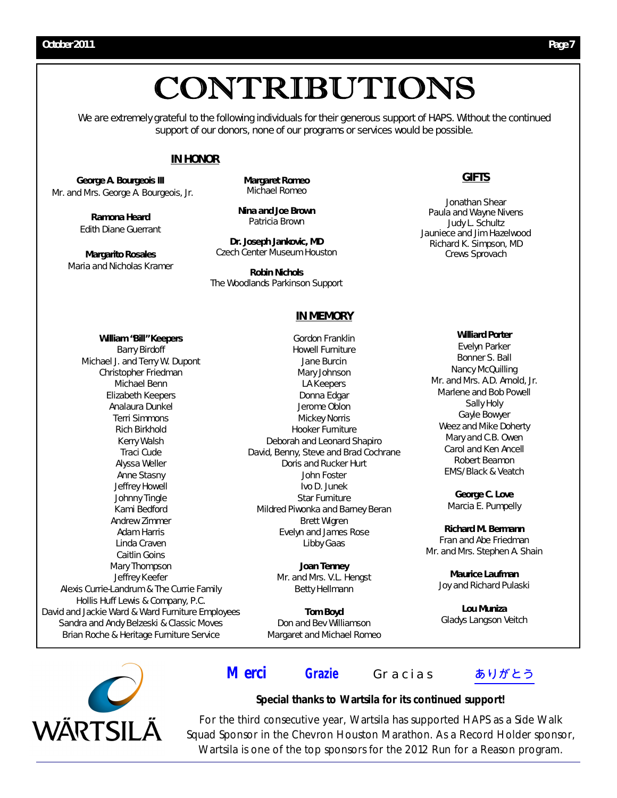# CONTRIBUTIONS

We are extremely grateful to the following individuals for their generous support of HAPS. Without the continued support of our donors, none of our programs or services would be possible.

#### **IN HONOR**

*George A. Bourgeois III* Mr. and Mrs. George A. Bourgeois, Jr.

> *Ramona Heard* Edith Diane Guerrant

*Margarito Rosales*  Maria and Nicholas Kramer *Margaret Romeo* Michael Romeo

*Nina and Joe Brown* Patricia Brown

*Dr. Joseph Jankovic, MD* Czech Center Museum Houston

*Robin Nichols* The Woodlands Parkinson Support

#### **IN MEMORY**

*William "Bill" Keepers* Barry Birdoff Michael J. and Terry W. Dupont Christopher Friedman Michael Benn Elizabeth Keepers Analaura Dunkel Terri Simmons Rich Birkhold Kerry Walsh Traci Cude Alyssa Weller Anne Stasny Jeffrey Howell Johnny Tingle Kami Bedford Andrew Zimmer Adam Harris Linda Craven Caitlin Goins Mary Thompson Jeffrey Keefer Alexis Currie-Landrum & The Currie Family Hollis Huff Lewis & Company, P.C. David and Jackie Ward & Ward Furniture Employees Sandra and Andy Belzeski & Classic Moves Brian Roche & Heritage Furniture Service

Gordon Franklin Howell Furniture Jane Burcin Mary Johnson LA Keepers Donna Edgar Jerome Oblon Mickey Norris Hooker Furniture Deborah and Leonard Shapiro David, Benny, Steve and Brad Cochrane Doris and Rucker Hurt John Foster Ivo D. Junek Star Furniture Mildred Piwonka and Barney Beran Brett Wigren Evelyn and James Rose Libby Gaas

> *Joan Tenney* Mr. and Mrs. V.L. Hengst Betty Hellmann

*Tom Boyd* Don and Bev Williamson Margaret and Michael Romeo

# **GIFTS**

Jonathan Shear Paula and Wayne Nivens Judy L. Schultz Jauniece and Jim Hazelwood Richard K. Simpson, MD Crews Sprovach

#### *Williard Porter*

Evelyn Parker Bonner S. Ball Nancy McQuilling Mr. and Mrs. A.D. Arnold, Jr. Marlene and Bob Powell Sally Holy Gayle Bowyer Weez and Mike Doherty Mary and C.B. Owen Carol and Ken Ancell Robert Beamon EMS/Black & Veatch

> *George C. Love* Marcia E. Pumpelly

*Richard M. Bermann* Fran and Abe Friedman Mr. and Mrs. Stephen A. Shain

> *Maurice Laufman* Joy and Richard Pulaski

*Lou Muniza*  Gladys Langson Veitch



# *Merci* **Grazie** Gracias ありがとう

### **Special thanks to Wartsila for its continued support!**

For the third consecutive year, Wartsila has supported HAPS as a Side Walk Squad Sponsor in the Chevron Houston Marathon. As a *Record Holder* sponsor, Wartsila is one of the top sponsors for the 2012 *Run for a Reason* program.